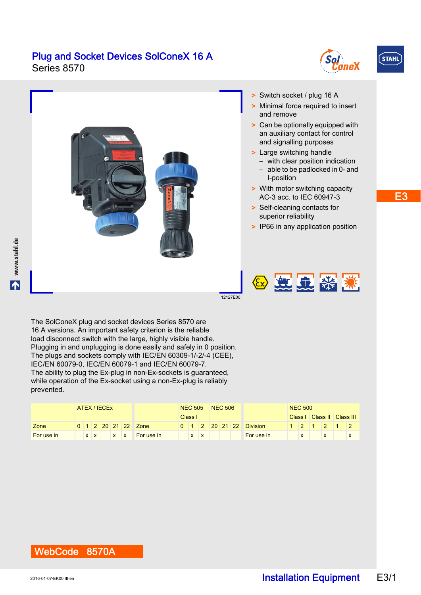#### Plug and Socket Devices SolConeX 16 A Series 8570





16 A versions. An important safety criterion is the reliable load disconnect switch with the large, highly visible handle. Plugging in and unplugging is done easily and safely in 0 position. The plugs and sockets comply with IEC/EN 60309-1/-2/-4 (CEE), IEC/EN 60079-0, IEC/EN 60079-1 and IEC/EN 60079-7. The ability to plug the Ex-plug in non-Ex-sockets is guaranteed, while operation of the Ex-socket using a non-Ex-plug is reliably prevented.

|            | ATEX / IECEX |  |  |  |  |  |                                | NEC 505 NEC 506 |  |         |  |  |  |                         | <b>NEC 500</b> |  |  |  |                            |  |
|------------|--------------|--|--|--|--|--|--------------------------------|-----------------|--|---------|--|--|--|-------------------------|----------------|--|--|--|----------------------------|--|
|            |              |  |  |  |  |  |                                | Class I         |  |         |  |  |  |                         |                |  |  |  | Class     Class      Class |  |
| Zone       |              |  |  |  |  |  | 0 1 2 20 21 22 Zone            |                 |  |         |  |  |  | 0 1 2 20 21 22 Division |                |  |  |  | $1 \t12 \t11 \t211 \t2.$   |  |
| For use in |              |  |  |  |  |  | <b>x</b> x x <b>For use in</b> |                 |  | $X$ $X$ |  |  |  | For use in              |                |  |  |  |                            |  |

### WebCode 8570A

E3

**STAHL**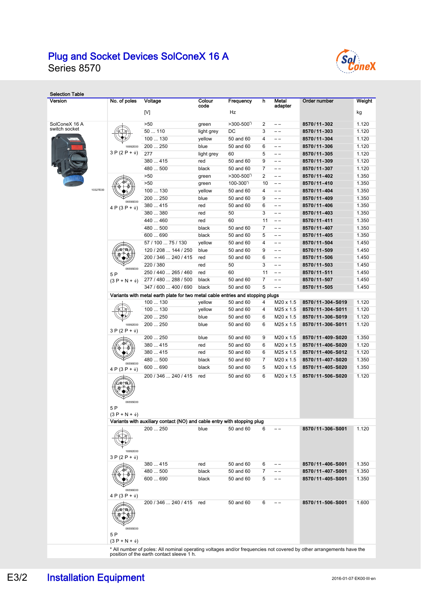# Plug and Socket Devices SolConeX 16 A



Series 8570

| <b>Selection Table</b><br>Version |          | No. of poles                          | Voltage<br>[V]                                                                                                                                                   | Colour<br>code  | Frequency<br>Hz             | h              | Metal<br>adapter | Order number               | Weight<br>kg   |
|-----------------------------------|----------|---------------------------------------|------------------------------------------------------------------------------------------------------------------------------------------------------------------|-----------------|-----------------------------|----------------|------------------|----------------------------|----------------|
|                                   |          |                                       |                                                                                                                                                                  |                 |                             |                |                  |                            |                |
| SolConeX 16 A<br>switch socket    |          |                                       | >50                                                                                                                                                              | green           | $>300-500'$                 | 2              | $- -$            | 8570/11-302                | 1.120          |
|                                   |          |                                       | 50110                                                                                                                                                            | light grey      | DC                          | 3              | $- -$            | 8570/11-303                | 1.120          |
|                                   |          |                                       | 100  130                                                                                                                                                         | yellow          | 50 and 60                   | $\overline{4}$ | $- -$            | 8570/11-304                | 1.120          |
|                                   |          | 16992E00<br>$3 P (2 P + \frac{1}{2})$ | 200  250                                                                                                                                                         | blue            | 50 and 60                   | 6              | $- -$            | 8570/11-306                | 1.120          |
|                                   |          |                                       | 277                                                                                                                                                              | light grey      | 60                          | 5              | $-$              | 8570/11-305                | 1.120          |
|                                   |          |                                       | 380  415                                                                                                                                                         | red             | 50 and 60                   | 9              | $- -$            | 8570/11-309                | 1.120          |
|                                   |          |                                       | 480  500                                                                                                                                                         | black           | 50 and 60                   | $\overline{7}$ | $- -$            | 8570/11-307                | 1.120          |
|                                   |          |                                       | >50<br>>50                                                                                                                                                       | green           | $>300-500'$<br>$100 - 300'$ | 2              | $ -$<br>$- -$    | 8570/11-402                | 1.350<br>1.350 |
|                                   | 10327E00 |                                       | 100  130                                                                                                                                                         | green<br>yellow | 50 and 60                   | 10<br>4        | $- -$            | 8570/11-410<br>8570/11-404 | 1.350          |
|                                   |          |                                       | 200  250                                                                                                                                                         | blue            | 50 and 60                   | 9              | $- -$            | 8570/11-409                | 1.350          |
|                                   |          | 06556F00                              | 380  415                                                                                                                                                         | red             | 50 and 60                   | 6              | $- -$            | 8570/11-406                | 1.350          |
|                                   |          | $4 P (3 P + \frac{1}{2})$             | 380380                                                                                                                                                           | red             | 50                          | 3              | $-$              | 8570/11-403                | 1.350          |
|                                   |          |                                       | 440  460                                                                                                                                                         | red             | 60                          | 11             | $- -$            | 8570/11-411                | 1.350          |
|                                   |          |                                       | 480  500                                                                                                                                                         | black           | 50 and 60                   | $\overline{7}$ | $- -$            | 8570/11-407                | 1.350          |
|                                   |          |                                       | 600  690                                                                                                                                                         | black           | 50 and 60                   | 5              | $- -$            | 8570/11-405                | 1.350          |
|                                   |          |                                       | 57 / 100  75 / 130                                                                                                                                               | yellow          | 50 and 60                   | 4              | $- -$            | 8570/11-504                | 1.450          |
|                                   |          |                                       | 120 / 208  144 / 250                                                                                                                                             | blue            | 50 and 60                   | 9              | $ -$             | 8570/11-509                | 1.450          |
|                                   |          |                                       | 200 / 346  240 / 415                                                                                                                                             | red             | 50 and 60                   | 6              | $- -$            | 8570/11-506                | 1.450          |
|                                   |          |                                       | 220 / 380                                                                                                                                                        | red             | 50                          | 3              | $-$              | 8570/11-503                | 1.450          |
|                                   |          | 06555E00                              | 250 / 440  265 / 460                                                                                                                                             | red             | 60                          | 11             | $-$              | 8570/11-511                | 1.450          |
|                                   |          | 5P<br>$(3 P + N + \frac{1}{2})$       | 277 / 480  288 / 500                                                                                                                                             | black           | 50 and 60                   | 7              | $-$              | 8570/11-507                | 1.450          |
|                                   |          |                                       | 347 / 600  400 / 690                                                                                                                                             | black           | 50 and 60                   | 5              | $- -$            | 8570/11-505                | 1.450          |
|                                   |          |                                       | Variants with metal earth plate for two metal cable entries and stopping plugs                                                                                   |                 |                             |                |                  |                            |                |
|                                   |          |                                       | 100  130                                                                                                                                                         | yellow          | 50 and 60                   | 4              | M20 x 1.5        | 8570/11-304-S019           | 1.120          |
|                                   |          |                                       | 100  130                                                                                                                                                         | yellow          | 50 and 60                   | 4              | M25 x 1.5        | 8570/11-304-S011           | 1.120          |
|                                   |          |                                       | 200  250                                                                                                                                                         | blue            | 50 and 60                   | 6              | M20 x 1.5        | 8570/11-306-S019           | 1.120          |
|                                   |          | 16992E00<br>$3 P (2 P + \frac{1}{2})$ | 200  250                                                                                                                                                         | blue            | 50 and 60                   | 6              | M25 x 1.5        | 8570/11-306-S011           | 1.120          |
|                                   |          |                                       | 200  250                                                                                                                                                         | blue            | 50 and 60                   | 9              | M20 x 1.5        | 8570/11-409-S020           | 1.350          |
|                                   |          |                                       | 380  415                                                                                                                                                         | red             | 50 and 60                   | 6              | M20 x 1.5        | 8570/11-406-S020           | 1.120          |
|                                   |          |                                       | 380  415                                                                                                                                                         | red             | 50 and 60                   | 6              | M25 x 1.5        | 8570/11-406-S012           | 1.120          |
|                                   |          |                                       | 480  500                                                                                                                                                         | black           | 50 and 60                   | 7              | M20 x 1.5        | 8570/11-407-S020           | 1.350          |
|                                   |          | 06556E00<br>$4 P (3 P + \frac{1}{2})$ | 600  690                                                                                                                                                         | black           | 50 and 60                   | 5              | M20 x 1.5        | 8570/11-405-S020           | 1.350          |
|                                   |          | 06555E00                              | 200 / 346  240 / 415                                                                                                                                             | red             | 50 and 60                   | 6              | M20 x 1.5        | 8570/11-506-S020           | 1.120          |
|                                   |          | 5P<br>$(3 P + N + \frac{1}{2})$       | Variants with auxiliary contact (NO) and cable entry with stopping plug                                                                                          |                 |                             |                |                  |                            |                |
|                                   |          |                                       | 200  250                                                                                                                                                         | blue            | 50 and 60                   | 6              | $- -$            | 8570/11-306-S001           | 1.120          |
|                                   |          | 16992E00<br>$3 P (2 P + \frac{1}{2})$ |                                                                                                                                                                  |                 |                             |                |                  |                            |                |
|                                   |          |                                       | 380  415                                                                                                                                                         | red             | 50 and 60                   | 6              | $- -$            | 8570/11-406-S001           | 1.350          |
|                                   |          |                                       | 480  500                                                                                                                                                         | black           | 50 and 60                   | 7              | $- -$            | 8570/11-407-S001           | 1.350          |
|                                   |          | 06556E00                              | 600  690                                                                                                                                                         | black           | 50 and 60                   | 5              | $- -$            | 8570/11-405-S001           | 1.350          |
|                                   |          | $4 P (3 P + \frac{1}{2})$             |                                                                                                                                                                  |                 |                             |                |                  |                            |                |
|                                   |          | ø⊤⊗<br>06555E00<br>5 P                | 200 / 346  240 / 415                                                                                                                                             | red             | 50 and 60                   | 6              |                  | 8570/11-506-S001           | 1.600          |
|                                   |          | $(3 P + N + \frac{1}{2})$             | * All number of poles: All nominal operating voltages and/or frequencies not covered by other arrangements have the<br>position of the earth contact sleeve 1 h. |                 |                             |                |                  |                            |                |

E3/2 Installation Equipment 2016-01-07-EK00-III-en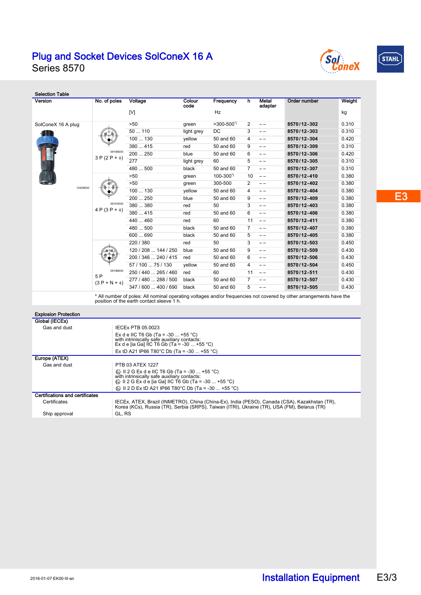#### Plug and Socket Devices SolConeX 16 A Series 8570





Selection Table Version No. of poles Voltage Colour Metal<br>adapter Order number Weight Frequency h code  $[V]$  is a contract of the contract of the contract of the contract of the contract of the contract of the contract of the contract of the contract of the contract of the contract of the contract of the contract of the con SolConeX 16 A plug >50 green >300-500\*) 2 – – **8570/12-302** 0.310 50 ... 110 light grey DC 3 – – **8570/12-303** 0.310 68 100 ... 130 yellow 50 and 60 4 – – **8570/12-304** 0.420 380 ... 415 red 50 and 60 9 – – **8570/12-309** 0.310 09195E00 200 ... 250 blue 50 and 60 6 – – **8570/12-306** 0.420  $3 P (2 P + \frac{1}{2})$ 277 light grey 60 5 – – **8570/12-305** 0.310 480 ... 500 black 50 and 60 7 – – **8570/12-307** 0.310 >50 green 100-300\*) 10 – – **8570/12-410** 0.380 >50 green 300-500 2 – – **8570/12-402** 0.380 10329E00 100 ... 130 yellow 50 and 60 4 – – **8570/12-404** 0.380 200 ... 250 blue 50 and 60 9 – – **8570/12-409** 0.380 09191E00 380 ... 380 red 50 3 – – **8570/12-403** 0.380 4 P (3 P +  $\frac{1}{2}$ ) 380 ... 415 red 50 and 60 6 – – **8570/12-406** 0.380 440 ... 460 red 60 11 – – **8570/12-411** 0.380 480 ... 500 black 50 and 60 7 – – **8570/12-407** 0.380 600 ... 690 black 50 and 60 5 – – **8570/12-405** 0.380 220 / 380 red 50 3 – – **8570/12-503** 0.450 120 / 208 ... 144 / 250 blue 50 and 60 9 – – **8570/12-509** 0.430 200 / 346 ... 240 / 415 red 50 and 60 6 – – **8570/12-506** 0.430 57 / 100 ... 75 / 130 yellow 50 and 60 4 – – **8570/12-504** 0.450 09196E00 250 / 440 ... 265 / 460 red 60 11 – – **8570/12-511** 0.430 5 P 277 / 480 ... 288 / 500 black 50 and 60 7 – – **8570/12-507** 0.430  $(3 P + N + \frac{1}{3})$ 347 / 600 ... 400 / 690 black 50 and 60 5 – – **8570/12-505** 0.430 \* All number of poles: All nominal operating voltages and/or frequencies not covered by other arrangements have the position of the earth contact sleeve 1 h. Explosion Protection Global (IECEx) Gas and dust **IECEX PTB 05.0023** Ex d e IIC T6 Gb (Ta = -30 ... +55 °C) with intriniscally safe auxiliary contacts: Ex d e [ia Ga] IIC T6 Gb (Ta = -30 ... +55 °C) Ex tD A21 IP66 T80°C Db (Ta = -30 ... +55 °C) Europe (ATEX) Gas and dust PTB 03 ATEX 1227 t͡g› Ⅱ 2 G Ex d e IIC T6 Gb (Ta = -30 ... +55 °C)<br>with intrinsically safe auxiliary contacts:<br>င͡g› Ⅱ 2 G Ex d e [ia Ga] ⅡC T6 Gb (Ta = -30 ... +55 °C)  $\textcircled{ }$  II 2 D Ex tD A21 IP66 T80°C Db (Ta = -30 ... +55 °C) Certifications and certificates Certificates IECEx, ATEX, Brazil (INMETRO), China (China-Ex), India (PESO), Canada (CSA), Kazakhstan (TR), Korea (KCs), Russia (TR), Serbia (SRPS), Taiwan (ITRI), Ukraine (TR), USA (FM), Belarus (TR) Ship approval GL, RS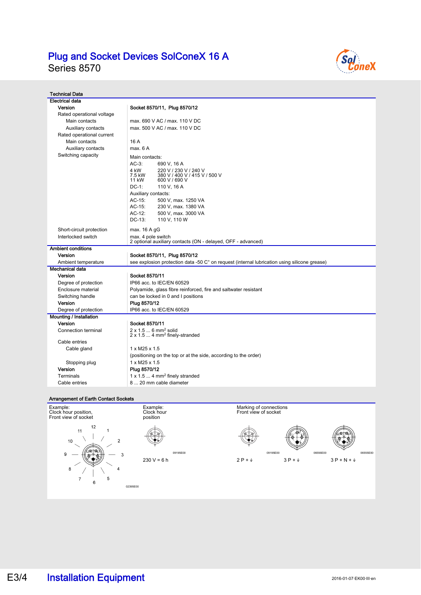# Plug and Socket Devices SolConeX 16 A

Series 8570



| <b>Technical Data</b>                     |                                                                                              |  |  |  |  |  |  |  |  |
|-------------------------------------------|----------------------------------------------------------------------------------------------|--|--|--|--|--|--|--|--|
| <b>Electrical data</b>                    |                                                                                              |  |  |  |  |  |  |  |  |
| Version                                   | Socket 8570/11, Plug 8570/12                                                                 |  |  |  |  |  |  |  |  |
| Rated operational voltage                 |                                                                                              |  |  |  |  |  |  |  |  |
| Main contacts                             | max, 690 V AC / max, 110 V DC                                                                |  |  |  |  |  |  |  |  |
| Auxiliary contacts                        | max, 500 V AC / max, 110 V DC                                                                |  |  |  |  |  |  |  |  |
| Rated operational current                 |                                                                                              |  |  |  |  |  |  |  |  |
| Main contacts                             | 16 A                                                                                         |  |  |  |  |  |  |  |  |
| Auxiliary contacts                        | max. 6 A                                                                                     |  |  |  |  |  |  |  |  |
| Switching capacity                        | Main contacts:                                                                               |  |  |  |  |  |  |  |  |
|                                           | $AC-3$ :<br>690 V, 16 A                                                                      |  |  |  |  |  |  |  |  |
|                                           | 4 kW<br>220 V / 230 V / 240 V                                                                |  |  |  |  |  |  |  |  |
|                                           | 7.5 kW<br>380 V / 400 V / 415 V / 500 V                                                      |  |  |  |  |  |  |  |  |
|                                           | 11 kW<br>600 V / 690 V                                                                       |  |  |  |  |  |  |  |  |
|                                           | $DC-1$ :<br>110 V, 16 A                                                                      |  |  |  |  |  |  |  |  |
|                                           | Auxiliary contacts:                                                                          |  |  |  |  |  |  |  |  |
|                                           | $AC-15$ :<br>500 V, max. 1250 VA                                                             |  |  |  |  |  |  |  |  |
|                                           | AC-15:<br>230 V, max. 1380 VA<br>$AC-12$ :                                                   |  |  |  |  |  |  |  |  |
|                                           | 500 V, max. 3000 VA<br>$DC-13$ :<br>110 V, 110 W                                             |  |  |  |  |  |  |  |  |
|                                           |                                                                                              |  |  |  |  |  |  |  |  |
| Short-circuit protection                  | max. 16 A gG                                                                                 |  |  |  |  |  |  |  |  |
| Interlocked switch                        | max. 4 pole switch                                                                           |  |  |  |  |  |  |  |  |
|                                           | 2 optional auxiliary contacts (ON - delayed, OFF - advanced)                                 |  |  |  |  |  |  |  |  |
| <b>Ambient conditions</b>                 |                                                                                              |  |  |  |  |  |  |  |  |
| Version                                   | Socket 8570/11, Plug 8570/12                                                                 |  |  |  |  |  |  |  |  |
| Ambient temperature<br>Mechanical data    | see explosion protection data -50 C° on request (internal lubrication using silicone grease) |  |  |  |  |  |  |  |  |
| Version                                   | Socket 8570/11                                                                               |  |  |  |  |  |  |  |  |
|                                           |                                                                                              |  |  |  |  |  |  |  |  |
| Degree of protection                      | IP66 acc. to IEC/EN 60529                                                                    |  |  |  |  |  |  |  |  |
| Enclosure material                        | Polyamide, glass fibre reinforced, fire and saltwater resistant                              |  |  |  |  |  |  |  |  |
| Switching handle                          | can be locked in 0 and I positions                                                           |  |  |  |  |  |  |  |  |
| Version                                   | Plug 8570/12<br>IP66 acc. to IEC/EN 60529                                                    |  |  |  |  |  |  |  |  |
| Degree of protection                      |                                                                                              |  |  |  |  |  |  |  |  |
| <b>Mounting / Installation</b><br>Version |                                                                                              |  |  |  |  |  |  |  |  |
| Connection terminal                       | Socket 8570/11<br>2 x 1.5  6 mm <sup>2</sup> solid                                           |  |  |  |  |  |  |  |  |
|                                           | $2 \times 1.5$ 4 mm <sup>2</sup> finely-stranded                                             |  |  |  |  |  |  |  |  |
| Cable entries                             |                                                                                              |  |  |  |  |  |  |  |  |
| Cable gland                               | $1 \times M25 \times 1.5$                                                                    |  |  |  |  |  |  |  |  |
|                                           | (positioning on the top or at the side, according to the order)                              |  |  |  |  |  |  |  |  |
| Stopping plug                             | 1 x M25 x 1.5                                                                                |  |  |  |  |  |  |  |  |
| Version                                   | Plug 8570/12                                                                                 |  |  |  |  |  |  |  |  |
| Terminals                                 | $1 \times 1.5$ 4 mm <sup>2</sup> finely stranded                                             |  |  |  |  |  |  |  |  |
| Cable entries                             | 8  20 mm cable diameter                                                                      |  |  |  |  |  |  |  |  |

#### Arrangement of Earth Contact Sockets